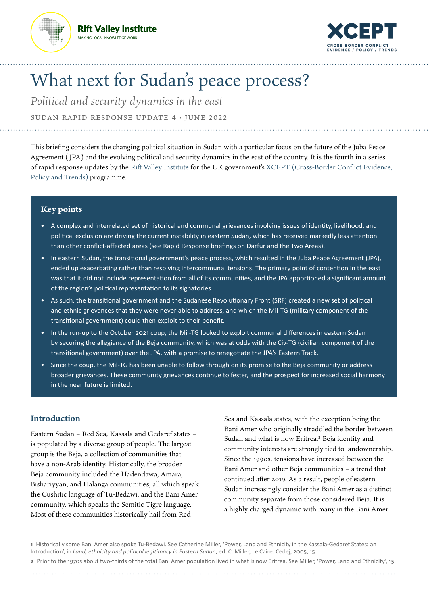



# What next for Sudan's peace process?

*Political and security dynamics in the east*  Sudan Rapid Response Update 4 · June 2022

This briefing considers the changing political situation in Sudan with a particular focus on the future of the Juba Peace Agreement ( JPA) and the evolving political and security dynamics in the east of the country. It is the fourth in a series of rapid response updates by the [Rift Valley Institute](https://riftvalley.net/) for the UK government's [XCEPT \(Cross-Border Conflict Evidence,](https://xcept-research.org/)  [Policy and Trends\)](https://xcept-research.org/) programme.

## **Key points**

- A complex and interrelated set of historical and communal grievances involving issues of identity, livelihood, and political exclusion are driving the current instability in eastern Sudan, which has received markedly less attention than other conflict-affected areas (see Rapid Response briefings on [Darfur](https://riftvalley.net/publication/what-next-juba-peace-agreement-evolving-political-and-security-dynamics-darfur) and the [Two Areas\)](https://riftvalley.net/publication/what-next-sudans-peace-process-evolving-political-and-security-dynamics-two-areas).
- In eastern Sudan, the transitional government's peace process, which resulted in the Juba Peace Agreement (JPA), ended up exacerbating rather than resolving intercommunal tensions. The primary point of contention in the east was that it did not include representation from all of its communities, and the JPA apportioned a significant amount of the region's political representation to its signatories.
- As such, the transitional government and the Sudanese Revolutionary Front (SRF) created a new set of political and ethnic grievances that they were never able to address, and which the Mil-TG (military component of the transitional government) could then exploit to their benefit.
- In the run-up to the October 2021 coup, the Mil-TG looked to exploit communal differences in eastern Sudan by securing the allegiance of the Beja community, which was at odds with the Civ-TG (civilian component of the transitional government) over the JPA, with a promise to renegotiate the JPA's Eastern Track.
- Since the coup, the Mil-TG has been unable to follow through on its promise to the Beja community or address broader grievances. These community grievances continue to fester, and the prospect for increased social harmony in the near future is limited.

## **Introduction**

Eastern Sudan – Red Sea, Kassala and Gedaref states – is populated by a diverse group of people. The largest group is the Beja, a collection of communities that have a non-Arab identity. Historically, the broader Beja community included the Hadendawa, Amara, Bishariyyan, and Halanga communities, all which speak the Cushitic language of Tu-Bedawi, and the Bani Amer community, which speaks the Semitic Tigre language.<sup>1</sup> Most of these communities historically hail from Red

Sea and Kassala states, with the exception being the Bani Amer who originally straddled the border between Sudan and what is now Eritrea.<sup>2</sup> Beja identity and community interests are strongly tied to landownership. Since the 1990s, tensions have increased between the Bani Amer and other Beja communities – a trend that continued after 2019. As a result, people of eastern Sudan increasingly consider the Bani Amer as a distinct community separate from those considered Beja. It is a highly charged dynamic with many in the Bani Amer

**1** Historically some Bani Amer also spoke Tu-Bedawi. See Catherine Miller, 'Power, Land and Ethnicity in the Kassala-Gedaref States: an Introduction', in *Land, ethnicity and political legitimacy in Eastern Sudan*, ed. C. Miller, Le Caire: Cedej, 2005, 15. **2** Prior to the 1970s about two-thirds of the total Bani Amer population lived in what is now Eritrea. See Miller, 'Power, Land and Ethnicity', 15.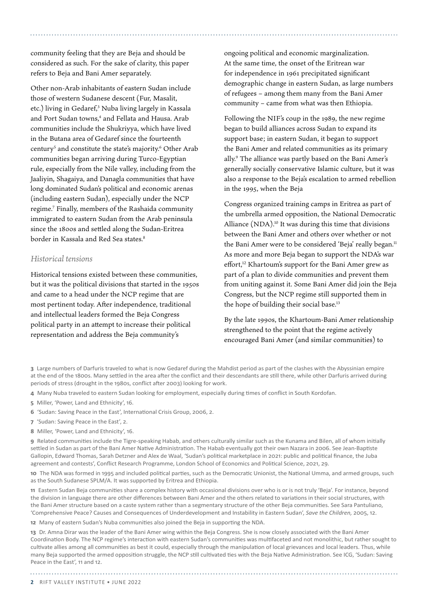community feeling that they are Beja and should be considered as such. For the sake of clarity, this paper refers to Beja and Bani Amer separately.

Other non-Arab inhabitants of eastern Sudan include those of western Sudanese descent (Fur, Masalit, etc.) living in Gedaref,<sup>3</sup> Nuba living largely in Kassala and Port Sudan towns,<sup>4</sup> and Fellata and Hausa. Arab communities include the Shukriyya, which have lived in the Butana area of Gedaref since the fourteenth century<sup>5</sup> and constitute the state's majority.<sup>6</sup> Other Arab communities began arriving during Turco-Egyptian rule, especially from the Nile valley, including from the Jaaliyin, Shagaiya, and Danagla communities that have long dominated Sudan's political and economic arenas (including eastern Sudan), especially under the NCP regime.7 Finally, members of the Rashaida community immigrated to eastern Sudan from the Arab peninsula since the 1800s and settled along the Sudan-Eritrea border in Kassala and Red Sea states.8

## *Historical tensions*

Historical tensions existed between these communities, but it was the political divisions that started in the 1950s and came to a head under the NCP regime that are most pertinent today. After independence, traditional and intellectual leaders formed the Beja Congress political party in an attempt to increase their political representation and address the Beja community's

ongoing political and economic marginalization. At the same time, the onset of the Eritrean war for independence in 1961 precipitated significant demographic change in eastern Sudan, as large numbers of refugees – among them many from the Bani Amer community – came from what was then Ethiopia.

Following the NIF's coup in the 1989, the new regime began to build alliances across Sudan to expand its support base; in eastern Sudan, it began to support the Bani Amer and related communities as its primary ally.9 The alliance was partly based on the Bani Amer's generally socially conservative Islamic culture, but it was also a response to the Beja's escalation to armed rebellion in the 1995, when the Beja

Congress organized training camps in Eritrea as part of the umbrella armed opposition, the National Democratic Alliance (NDA).10 It was during this time that divisions between the Bani Amer and others over whether or not the Bani Amer were to be considered 'Beja' really began.<sup>11</sup> As more and more Beja began to support the NDA's war effort,<sup>12</sup> Khartoum's support for the Bani Amer grew as part of a plan to divide communities and prevent them from uniting against it. Some Bani Amer did join the Beja Congress, but the NCP regime still supported them in the hope of building their social base.<sup>13</sup>

By the late 1990s, the Khartoum-Bani Amer relationship strengthened to the point that the regime actively encouraged Bani Amer (and similar communities) to

**3** Large numbers of Darfuris traveled to what is now Gedaref during the Mahdist period as part of the clashes with the Abyssinian empire at the end of the 1800s. Many settled in the area after the conflict and their descendants are still there, while other Darfuris arrived during periods of stress (drought in the 1980s, conflict after 2003) looking for work.

**4** Many Nuba traveled to eastern Sudan looking for employment, especially during times of conflict in South Kordofan.

- **5** Miller, 'Power, Land and Ethnicity', 16.
- **6** 'Sudan: Saving Peace in the East', International Crisis Group, 2006, 2.
- **7** 'Sudan: Saving Peace in the East', 2.
- **8** Miller, 'Power, Land and Ethnicity', 16.

**9** Related communities include the Tigre-speaking Habab, and others culturally similar such as the Kunama and Bilen, all of whom initially settled in Sudan as part of the Bani Amer Native Administration. The Habab eventually got their own Nazara in 2006. See Jean-Baptiste Gallopin, Edward Thomas, Sarah Detzner and Alex de Waal, 'Sudan's political marketplace in 2021: public and political finance, the Juba agreement and contests', Conflict Research Programme, London School of Economics and Political Science, 2021, 29.

**10** The NDA was formed in 1995 and included political parties, such as the Democratic Unionist, the National Umma, and armed groups, such as the South Sudanese SPLM/A. It was supported by Eritrea and Ethiopia.

**11** Eastern Sudan Beja communities share a complex history with occasional divisions over who is or is not truly 'Beja'. For instance, beyond the division in language there are other differences between Bani Amer and the others related to variations in their social structures, with the Bani Amer structure based on a caste system rather than a segmentary structure of the other Beja communities. See Sara Pantuliano, 'Comprehensive Peace? Causes and Consequences of Underdevelopment and Instability in Eastern Sudan', *Save the Children,* 2005, 12.

**12** Many of eastern Sudan's Nuba communities also joined the Beja in supporting the NDA.

**13** Dr. Amna Dirar was the leader of the Bani Amer wing within the Beja Congress. She is now closely associated with the Bani Amer Coordination Body. The NCP regime's interaction with eastern Sudan's communities was multifaceted and not monolithic, but rather sought to cultivate allies among all communities as best it could, especially through the manipulation of local grievances and local leaders. Thus, while many Beja supported the armed opposition struggle, the NCP still cultivated ties with the Beja Native Administration. See ICG, 'Sudan: Saving Peace in the East', 11 and 12.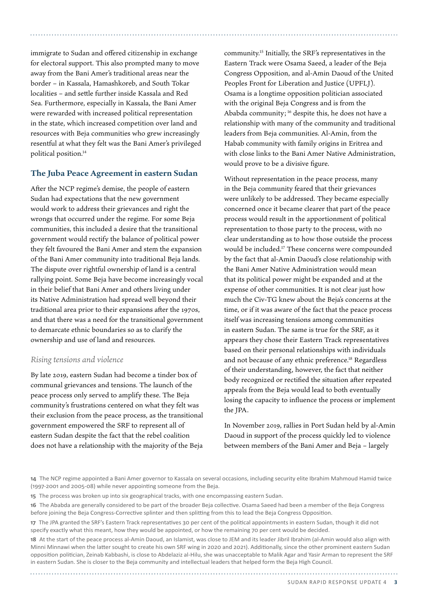immigrate to Sudan and offered citizenship in exchange for electoral support. This also prompted many to move away from the Bani Amer's traditional areas near the border – in Kassala, Hamashkoreb, and South Tokar localities – and settle further inside Kassala and Red Sea. Furthermore, especially in Kassala, the Bani Amer were rewarded with increased political representation in the state, which increased competition over land and resources with Beja communities who grew increasingly resentful at what they felt was the Bani Amer's privileged political position.14

## **The Juba Peace Agreement in eastern Sudan**

After the NCP regime's demise, the people of eastern Sudan had expectations that the new government would work to address their grievances and right the wrongs that occurred under the regime. For some Beja communities, this included a desire that the transitional government would rectify the balance of political power they felt favoured the Bani Amer and stem the expansion of the Bani Amer community into traditional Beja lands. The dispute over rightful ownership of land is a central rallying point. Some Beja have become increasingly vocal in their belief that Bani Amer and others living under its Native Administration had spread well beyond their traditional area prior to their expansions after the 1970s, and that there was a need for the transitional government to demarcate ethnic boundaries so as to clarify the ownership and use of land and resources.

## *Rising tensions and violence*

By late 2019, eastern Sudan had become a tinder box of communal grievances and tensions. The launch of the peace process only served to amplify these. The Beja community's frustrations centered on what they felt was their exclusion from the peace process, as the transitional government empowered the SRF to represent all of eastern Sudan despite the fact that the rebel coalition does not have a relationship with the majority of the Beja

community.15 Initially, the SRF's representatives in the Eastern Track were Osama Saeed, a leader of the Beja Congress Opposition, and al-Amin Daoud of the United Peoples Front for Liberation and Justice (UPFLJ). Osama is a longtime opposition politician associated with the original Beja Congress and is from the Ababda community; 16 despite this, he does not have a relationship with many of the community and traditional leaders from Beja communities. Al-Amin, from the Habab community with family origins in Eritrea and with close links to the Bani Amer Native Administration, would prove to be a divisive figure.

Without representation in the peace process, many in the Beja community feared that their grievances were unlikely to be addressed. They became especially concerned once it became clearer that part of the peace process would result in the apportionment of political representation to those party to the process, with no clear understanding as to how those outside the process would be included.17 These concerns were compounded by the fact that al-Amin Daoud's close relationship with the Bani Amer Native Administration would mean that its political power might be expanded and at the expense of other communities. It is not clear just how much the Civ-TG knew about the Beja's concerns at the time, or if it was aware of the fact that the peace process itself was increasing tensions among communities in eastern Sudan. The same is true for the SRF, as it appears they chose their Eastern Track representatives based on their personal relationships with individuals and not because of any ethnic preference.<sup>18</sup> Regardless of their understanding, however, the fact that neither body recognized or rectified the situation after repeated appeals from the Beja would lead to both eventually losing the capacity to influence the process or implement the JPA.

In November 2019, rallies in Port Sudan held by al-Amin Daoud in support of the process quickly led to violence between members of the Bani Amer and Beja – largely

Sudan Rapid Response Update 4  **3** 

**<sup>14</sup>** The NCP regime appointed a Bani Amer governor to Kassala on several occasions, including security elite Ibrahim Mahmoud Hamid twice (1997-2001 and 2005-08) while never appointing someone from the Beja.

**<sup>15</sup>** The process was broken up into six geographical tracks, with one encompassing eastern Sudan.

**<sup>16</sup>** The Ababda are generally considered to be part of the broader Beja collective. Osama Saeed had been a member of the Beja Congress before joining the Beja Congress-Corrective splinter and then splitting from this to lead the Beja Congress Opposition.

**<sup>17</sup>** The JPA granted the SRF's Eastern Track representatives 30 per cent of the political appointments in eastern Sudan, though it did not specify exactly what this meant, how they would be appointed, or how the remaining 70 per cent would be decided.

**<sup>18</sup>** At the start of the peace process al-Amin Daoud, an Islamist, was close to JEM and its leader Jibril Ibrahim (al-Amin would also align with Minni Minnawi when the latter sought to create his own SRF wing in 2020 and 2021). Additionally, since the other prominent eastern Sudan opposition politician, Zeinab Kabbashi, is close to Abdelaziz al-Hilu, she was unacceptable to Malik Agar and Yasir Arman to represent the SRF in eastern Sudan. She is closer to the Beja community and intellectual leaders that helped form the Beja High Council.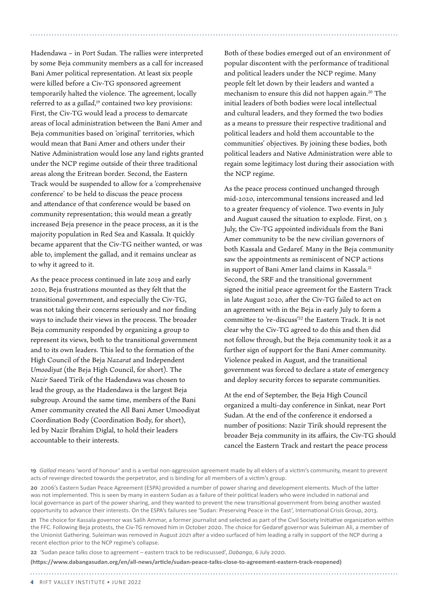Hadendawa – in Port Sudan. The rallies were interpreted by some Beja community members as a call for increased Bani Amer political representation. At least six people were killed before a Civ-TG sponsored agreement temporarily halted the violence. The agreement, locally referred to as a *gallad*, 19 contained two key provisions: First, the Civ-TG would lead a process to demarcate areas of local administration between the Bani Amer and Beja communities based on 'original' territories, which would mean that Bani Amer and others under their Native Administration would lose any land rights granted under the NCP regime outside of their three traditional areas along the Eritrean border. Second, the Eastern Track would be suspended to allow for a 'comprehensive conference' to be held to discuss the peace process and attendance of that conference would be based on community representation; this would mean a greatly increased Beja presence in the peace process, as it is the majority population in Red Sea and Kassala. It quickly became apparent that the Civ-TG neither wanted, or was able to, implement the gallad, and it remains unclear as to why it agreed to it.

As the peace process continued in late 2019 and early 2020, Beja frustrations mounted as they felt that the transitional government, and especially the Civ-TG, was not taking their concerns seriously and nor finding ways to include their views in the process. The broader Beja community responded by organizing a group to represent its views, both to the transitional government and to its own leaders. This led to the formation of the High Council of the Beja *Nazarat* and Independent *Umoodiyat* (the Beja High Council, for short). The *Nazir* Saeed Tirik of the Hadendawa was chosen to lead the group, as the Hadendawa is the largest Beja subgroup. Around the same time, members of the Bani Amer community created the All Bani Amer Umoodiyat Coordination Body (Coordination Body, for short), led by Nazir Ibrahim Diglal, to hold their leaders accountable to their interests.

Both of these bodies emerged out of an environment of popular discontent with the performance of traditional and political leaders under the NCP regime. Many people felt let down by their leaders and wanted a mechanism to ensure this did not happen again.20 The initial leaders of both bodies were local intellectual and cultural leaders, and they formed the two bodies as a means to pressure their respective traditional and political leaders and hold them accountable to the communities' objectives. By joining these bodies, both political leaders and Native Administration were able to regain some legitimacy lost during their association with the NCP regime.

As the peace process continued unchanged through mid-2020, intercommunal tensions increased and led to a greater frequency of violence. Two events in July and August caused the situation to explode. First, on 3 July, the Civ-TG appointed individuals from the Bani Amer community to be the new civilian governors of both Kassala and Gedaref. Many in the Beja community saw the appointments as reminiscent of NCP actions in support of Bani Amer land claims in Kassala.21 Second, the SRF and the transitional government signed the initial peace agreement for the Eastern Track in late August 2020, after the Civ-TG failed to act on an agreement with in the Beja in early July to form a committee to 're-discuss'22 the Eastern Track. It is not clear why the Civ-TG agreed to do this and then did not follow through, but the Beja community took it as a further sign of support for the Bani Amer community. Violence peaked in August, and the transitional government was forced to declare a state of emergency and deploy security forces to separate communities.

At the end of September, the Beja High Council organized a multi-day conference in Sinkat, near Port Sudan. At the end of the conference it endorsed a number of positions: Nazir Tirik should represent the broader Beja community in its affairs, the Civ-TG should cancel the Eastern Track and restart the peace process

**21** The choice for Kassala governor was Salih Ammar, a former journalist and selected as part of the Civil Society Initiative organization within the FFC. Following Beja protests, the Civ-TG removed him in October 2020. The choice for Gedaref governor was Suleiman Ali, a member of the Unionist Gathering. Suleiman was removed in August 2021 after a video surfaced of him leading a rally in support of the NCP during a recent election prior to the NCP regime's collapse.

**22** 'Sudan peace talks close to agreement – eastern track to be rediscussed', *Dabanga*, 6 July 2020.

**(https://www.dabangasudan.org/en/all-news/article/sudan-peace-talks-close-to-agreement-eastern-track-reopened)**

**<sup>19</sup>** *Gallad* means 'word of honour' and is a verbal non-aggression agreement made by all elders of a victim's community, meant to prevent acts of revenge directed towards the perpetrator, and is binding for all members of a victim's group.

**<sup>20</sup>** 2006's Eastern Sudan Peace Agreement (ESPA) provided a number of power sharing and development elements. Much of the latter was not implemented. This is seen by many in eastern Sudan as a failure of their political leaders who were included in national and local governance as part of the power sharing, and they wanted to prevent the new transitional government from being another wasted opportunity to advance their interests. On the ESPA's failures see 'Sudan: Preserving Peace in the East', International Crisis Group, 2013.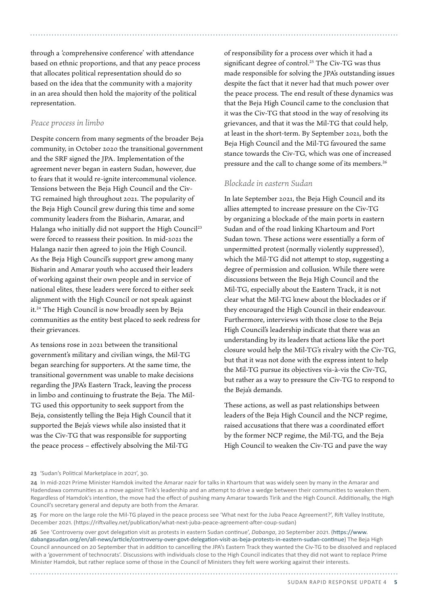through a 'comprehensive conference' with attendance based on ethnic proportions, and that any peace process that allocates political representation should do so based on the idea that the community with a majority in an area should then hold the majority of the political representation.

### *Peace process in limbo*

Despite concern from many segments of the broader Beja community, in October 2020 the transitional government and the SRF signed the JPA. Implementation of the agreement never began in eastern Sudan, however, due to fears that it would re-ignite intercommunal violence. Tensions between the Beja High Council and the Civ-TG remained high throughout 2021. The popularity of the Beja High Council grew during this time and some community leaders from the Bisharin, Amarar, and Halanga who initially did not support the High Council<sup>23</sup> were forced to reassess their position. In mid-2021 the Halanga nazir then agreed to join the High Council. As the Beja High Council's support grew among many Bisharin and Amarar youth who accused their leaders of working against their own people and in service of national elites, these leaders were forced to either seek alignment with the High Council or not speak against it.24 The High Council is now broadly seen by Beja communities as the entity best placed to seek redress for their grievances.

As tensions rose in 2021 between the transitional government's military and civilian wings, the Mil-TG began searching for supporters. At the same time, the transitional government was unable to make decisions regarding the JPA's Eastern Track, leaving the process in limbo and continuing to frustrate the Beja. The Mil-TG used this opportunity to seek support from the Beja, consistently telling the Beja High Council that it supported the Beja's views while also insisted that it was the Civ-TG that was responsible for supporting the peace process – effectively absolving the Mil-TG

of responsibility for a process over which it had a significant degree of control.<sup>25</sup> The Civ-TG was thus made responsible for solving the JPA's outstanding issues despite the fact that it never had that much power over the peace process. The end result of these dynamics was that the Beja High Council came to the conclusion that it was the Civ-TG that stood in the way of resolving its grievances, and that it was the Mil-TG that could help, at least in the short-term. By September 2021, both the Beja High Council and the Mil-TG favoured the same stance towards the Civ-TG, which was one of increased pressure and the call to change some of its members.26

## *Blockade in eastern Sudan*

In late September 2021, the Beja High Council and its allies attempted to increase pressure on the Civ-TG by organizing a blockade of the main ports in eastern Sudan and of the road linking Khartoum and Port Sudan town. These actions were essentially a form of unpermitted protest (normally violently suppressed), which the Mil-TG did not attempt to stop, suggesting a degree of permission and collusion. While there were discussions between the Beja High Council and the Mil-TG, especially about the Eastern Track, it is not clear what the Mil-TG knew about the blockades or if they encouraged the High Council in their endeavour. Furthermore, interviews with those close to the Beja High Council's leadership indicate that there was an understanding by its leaders that actions like the port closure would help the Mil-TG's rivalry with the Civ-TG, but that it was not done with the express intent to help the Mil-TG pursue its objectives vis-à-vis the Civ-TG, but rather as a way to pressure the Civ-TG to respond to the Beja's demands.

These actions, as well as past relationships between leaders of the Beja High Council and the NCP regime, raised accusations that there was a coordinated effort by the former NCP regime, the Mil-TG, and the Beja High Council to weaken the Civ-TG and pave the way

#### **23** 'Sudan's Political Marketplace in 2021', 30.

**24** In mid-2021 Prime Minister Hamdok invited the Amarar nazir for talks in Khartoum that was widely seen by many in the Amarar and Hadendawa communities as a move against Tirik's leadership and an attempt to drive a wedge between their communities to weaken them. Regardless of Hamdok's intention, the move had the effect of pushing many Amarar towards Tirik and the High Council. Additionally, the High Council's secretary general and deputy are both from the Amarar.

**25** For more on the large role the Mil-TG played in the peace process see 'What next for the Juba Peace Agreement?', Rift Valley Institute, December 2021. (https://riftvalley.net/publication/what-next-juba-peace-agreement-after-coup-sudan)

**26** See 'Controversy over govt delegation visit as protests in eastern Sudan continue', *Dabanga*, 20 September 2021. [\(https://www.](https://riftvalley.net/publication/what-next-juba-peace-agreement-after-coup-sudan)) [dabangasudan.org/en/all-news/article/controversy-over-govt-delegation-visit-as-beja-protests-in-eastern-sudan-continue](https://riftvalley.net/publication/what-next-juba-peace-agreement-after-coup-sudan))) The Beja High Council announced on 20 September that in addition to cancelling the JPA's Eastern Track they wanted the Civ-TG to be dissolved and replaced with a 'government of technocrats'. Discussions with individuals close to the High Council indicates that they did not want to replace Prime Minister Hamdok, but rather replace some of those in the Council of Ministers they felt were working against their interests.

Sudan Rapid Response Update 4  **5**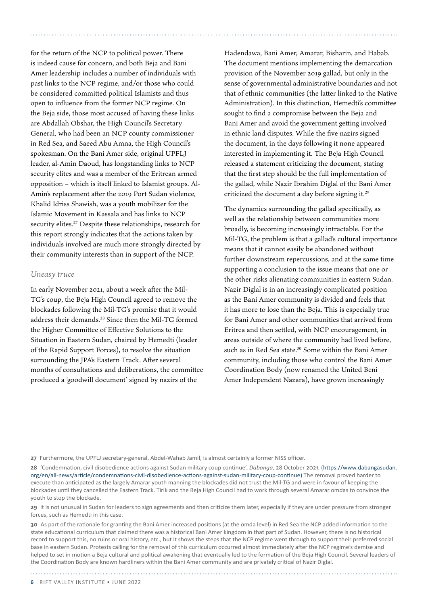for the return of the NCP to political power. There is indeed cause for concern, and both Beja and Bani Amer leadership includes a number of individuals with past links to the NCP regime, and/or those who could be considered committed political Islamists and thus open to influence from the former NCP regime. On the Beja side, those most accused of having these links are Abdallah Obshar, the High Council's Secretary General, who had been an NCP county commissioner in Red Sea, and Saeed Abu Amna, the High Council's spokesman. On the Bani Amer side, original UPFLJ leader, al-Amin Daoud, has longstanding links to NCP security elites and was a member of the Eritrean armed opposition – which is itself linked to Islamist groups. Al-Amin's replacement after the 2019 Port Sudan violence, Khalid Idriss Shawish, was a youth mobilizer for the Islamic Movement in Kassala and has links to NCP security elites.<sup>27</sup> Despite these relationships, research for this report strongly indicates that the actions taken by individuals involved are much more strongly directed by their community interests than in support of the NCP.

#### *Uneasy truce*

In early November 2021, about a week after the Mil-TG's coup, the Beja High Council agreed to remove the blockades following the Mil-TG's promise that it would address their demands.28 Since then the Mil-TG formed the Higher Committee of Effective Solutions to the Situation in Eastern Sudan, chaired by Hemedti (leader of the Rapid Support Forces), to resolve the situation surrounding the JPA's Eastern Track. After several months of consultations and deliberations, the committee produced a 'goodwill document' signed by nazirs of the

Hadendawa, Bani Amer, Amarar, Bisharin, and Habab. The document mentions implementing the demarcation provision of the November 2019 gallad, but only in the sense of governmental administrative boundaries and not that of ethnic communities (the latter linked to the Native Administration). In this distinction, Hemedti's committee sought to find a compromise between the Beja and Bani Amer and avoid the government getting involved in ethnic land disputes. While the five nazirs signed the document, in the days following it none appeared interested in implementing it. The Beja High Council released a statement criticizing the document, stating that the first step should be the full implementation of the gallad, while Nazir Ibrahim Diglal of the Bani Amer criticized the document a day before signing it.29

The dynamics surrounding the gallad specifically, as well as the relationship between communities more broadly, is becoming increasingly intractable. For the Mil-TG, the problem is that a gallad's cultural importance means that it cannot easily be abandoned without further downstream repercussions, and at the same time supporting a conclusion to the issue means that one or the other risks alienating communities in eastern Sudan. Nazir Diglal is in an increasingly complicated position as the Bani Amer community is divided and feels that it has more to lose than the Beja. This is especially true for Bani Amer and other communities that arrived from Eritrea and then settled, with NCP encouragement, in areas outside of where the community had lived before, such as in Red Sea state.<sup>30</sup> Some within the Bani Amer community, including those who control the Bani Amer Coordination Body (now renamed the United Beni Amer Independent Nazara), have grown increasingly

**27** Furthermore, the UPFLJ secretary-general, Abdel-Wahab Jamil, is almost certainly a former NISS officer.

**28** 'Condemnation, civil disobedience actions against Sudan military coup continue', *Dabanga*, 28 October 2021. [\(https://www.dabangasudan.](https://riftvalley.net/publication/what-next-juba-peace-agreement-evolving-political-and-security-dynamics-darfur)) [org/en/all-news/article/condemnations-civil-disobedience-actions-against-sudan-military-coup-continue\)](https://riftvalley.net/publication/what-next-juba-peace-agreement-evolving-political-and-security-dynamics-darfur)) The removal proved harder to execute than anticipated as the largely Amarar youth manning the blockades did not trust the Mil-TG and were in favour of keeping the blockades until they cancelled the Eastern Track. Tirik and the Beja High Council had to work through several Amarar omdas to convince the youth to stop the blockade.

**29** It is not unusual in Sudan for leaders to sign agreements and then criticize them later, especially if they are under pressure from stronger forces, such as Hemedti in this case.

**30** As part of the rationale for granting the Bani Amer increased positions (at the omda level) in Red Sea the NCP added information to the state educational curriculum that claimed there was a historical Bani Amer kingdom in that part of Sudan. However, there is no historical record to support this, no ruins or oral history, etc., but it shows the steps that the NCP regime went through to support their preferred social base in eastern Sudan. Protests calling for the removal of this curriculum occurred almost immediately after the NCP regime's demise and helped to set in motion a Beja cultural and political awakening that eventually led to the formation of the Beja High Council. Several leaders of the Coordination Body are known hardliners within the Bani Amer community and are privately critical of Nazir Diglal.

**6** RIFT VALLEY INSTITUTE • June 2022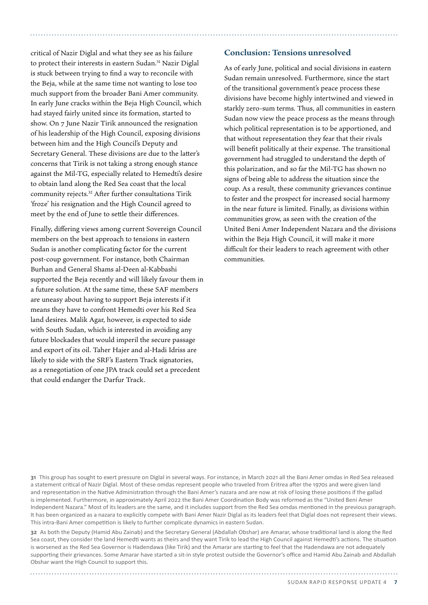critical of Nazir Diglal and what they see as his failure to protect their interests in eastern Sudan.<sup>31</sup> Nazir Diglal is stuck between trying to find a way to reconcile with the Beja, while at the same time not wanting to lose too much support from the broader Bani Amer community. In early June cracks within the Beja High Council, which had stayed fairly united since its formation, started to show. On 7 June Nazir Tirik announced the resignation of his leadership of the High Council, exposing divisions between him and the High Council's Deputy and Secretary General. These divisions are due to the latter's concerns that Tirik is not taking a strong enough stance against the Mil-TG, especially related to Hemedti's desire to obtain land along the Red Sea coast that the local community rejects.32 After further consultations Tirik 'froze' his resignation and the High Council agreed to meet by the end of June to settle their differences.

Finally, differing views among current Sovereign Council members on the best approach to tensions in eastern Sudan is another complicating factor for the current post-coup government. For instance, both Chairman Burhan and General Shams al-Deen al-Kabbashi supported the Beja recently and will likely favour them in a future solution. At the same time, these SAF members are uneasy about having to support Beja interests if it means they have to confront Hemedti over his Red Sea land desires. Malik Agar, however, is expected to side with South Sudan, which is interested in avoiding any future blockades that would imperil the secure passage and export of its oil. Taher Hajer and al-Hadi Idriss are likely to side with the SRF's Eastern Track signatories, as a renegotiation of one JPA track could set a precedent that could endanger the Darfur Track.

## **Conclusion: Tensions unresolved**

As of early June, political and social divisions in eastern Sudan remain unresolved. Furthermore, since the start of the transitional government's peace process these divisions have become highly intertwined and viewed in starkly zero-sum terms. Thus, all communities in eastern Sudan now view the peace process as the means through which political representation is to be apportioned, and that without representation they fear that their rivals will benefit politically at their expense. The transitional government had struggled to understand the depth of this polarization, and so far the Mil-TG has shown no signs of being able to address the situation since the coup. As a result, these community grievances continue to fester and the prospect for increased social harmony in the near future is limited. Finally, as divisions within communities grow, as seen with the creation of the United Beni Amer Independent Nazara and the divisions within the Beja High Council, it will make it more difficult for their leaders to reach agreement with other communities.

**31** This group has sought to exert pressure on Diglal in several ways. For instance, in March 2021 all the Bani Amer omdas in Red Sea released a statement critical of Nazir Diglal. Most of these omdas represent people who traveled from Eritrea after the 1970s and were given land and representation in the Native Administration through the Bani Amer's nazara and are now at risk of losing these positions if the gallad is implemented. Furthermore, in approximately April 2022 the Bani Amer Coordination Body was reformed as the "United Beni Amer Independent Nazara." Most of its leaders are the same, and it includes support from the Red Sea omdas mentioned in the previous paragraph. It has been organized as a nazara to explicitly compete with Bani Amer Nazir Diglal as its leaders feel that Diglal does not represent their views. This intra-Bani Amer competition is likely to further complicate dynamics in eastern Sudan.

**32** As both the Deputy (Hamid Abu Zainab) and the Secretary General (Abdallah Obshar) are Amarar, whose traditional land is along the Red Sea coast, they consider the land Hemedti wants as theirs and they want Tirik to lead the High Council against Hemedti's actions. The situation is worsened as the Red Sea Governor is Hadendawa (like Tirik) and the Amarar are starting to feel that the Hadendawa are not adequately supporting their grievances. Some Amarar have started a sit-in style protest outside the Governor's office and Hamid Abu Zainab and Abdallah Obshar want the High Council to support this.